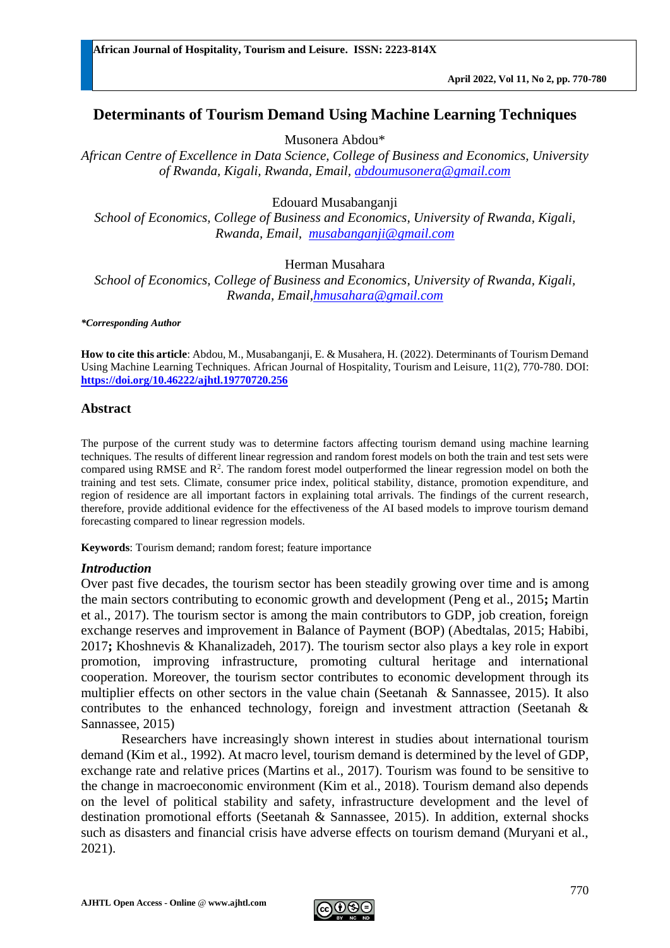# **Determinants of Tourism Demand Using Machine Learning Techniques**

Musonera Abdou\*

*African Centre of Excellence in Data Science, College of Business and Economics, University of Rwanda, Kigali, Rwanda, Email, [abdoumusonera@gmail.com](mailto:abdoumusonera@gmail.com)*

Edouard Musabanganji

*School of Economics, College of Business and Economics, University of Rwanda, Kigali, Rwanda, Email, [musabanganji@gmail.com](mailto:musabanganji@gmail.com)*

Herman Musahara

*School of Economics, College of Business and Economics, University of Rwanda, Kigali, Rwanda, Email[,hmusahara@gmail.com](mailto:hmusahara@gmail.com)*

*\*Corresponding Author*

**How to cite this article**: Abdou, M., Musabanganji, E. & Musahera, H. (2022). Determinants of Tourism Demand Using Machine Learning Techniques. African Journal of Hospitality, Tourism and Leisure, 11(2), 770-780. DOI: **<https://doi.org/10.46222/ajhtl.19770720.256>**

#### **Abstract**

The purpose of the current study was to determine factors affecting tourism demand using machine learning techniques. The results of different linear regression and random forest models on both the train and test sets were compared using RMSE and  $R<sup>2</sup>$ . The random forest model outperformed the linear regression model on both the training and test sets. Climate, consumer price index, political stability, distance, promotion expenditure, and region of residence are all important factors in explaining total arrivals. The findings of the current research, therefore, provide additional evidence for the effectiveness of the AI based models to improve tourism demand forecasting compared to linear regression models.

**Keywords**: Tourism demand; random forest; feature importance

#### *Introduction*

Over past five decades, the tourism sector has been steadily growing over time and is among the main sectors contributing to economic growth and development (Peng et al., 2015**;** Martin et al., 2017). The tourism sector is among the main contributors to GDP, job creation, foreign exchange reserves and improvement in Balance of Payment (BOP) (Abedtalas, 2015; Habibi, 2017**;** Khoshnevis & Khanalizadeh, 2017). The tourism sector also plays a key role in export promotion, improving infrastructure, promoting cultural heritage and international cooperation. Moreover, the tourism sector contributes to economic development through its multiplier effects on other sectors in the value chain (Seetanah & Sannassee, 2015). It also contributes to the enhanced technology, foreign and investment attraction (Seetanah & Sannassee, 2015)

Researchers have increasingly shown interest in studies about international tourism demand (Kim et al., 1992). At macro level, tourism demand is determined by the level of GDP, exchange rate and relative prices (Martins et al., 2017). Tourism was found to be sensitive to the change in macroeconomic environment (Kim et al., 2018). Tourism demand also depends on the level of political stability and safety, infrastructure development and the level of destination promotional efforts (Seetanah & Sannassee, 2015). In addition, external shocks such as disasters and financial crisis have adverse effects on tourism demand (Muryani et al., 2021).

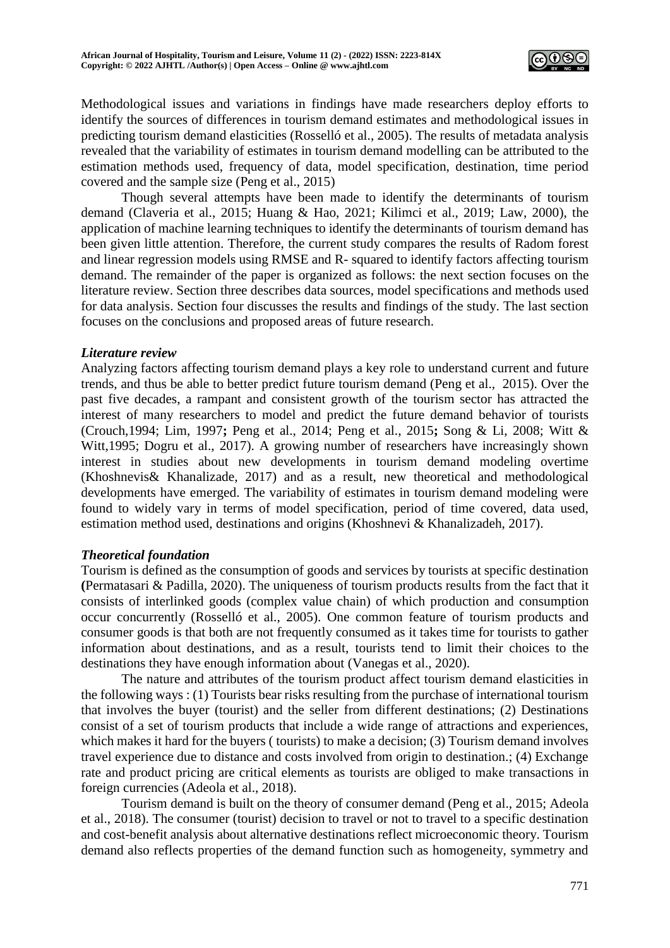

Methodological issues and variations in findings have made researchers deploy efforts to identify the sources of differences in tourism demand estimates and methodological issues in predicting tourism demand elasticities (Rosselló et al., 2005). The results of metadata analysis revealed that the variability of estimates in tourism demand modelling can be attributed to the estimation methods used, frequency of data, model specification, destination, time period covered and the sample size (Peng et al., 2015)

Though several attempts have been made to identify the determinants of tourism demand (Claveria et al., 2015; Huang & Hao, 2021; Kilimci et al., 2019; Law, 2000), the application of machine learning techniques to identify the determinants of tourism demand has been given little attention. Therefore, the current study compares the results of Radom forest and linear regression models using RMSE and R- squared to identify factors affecting tourism demand. The remainder of the paper is organized as follows: the next section focuses on the literature review. Section three describes data sources, model specifications and methods used for data analysis. Section four discusses the results and findings of the study. The last section focuses on the conclusions and proposed areas of future research.

#### *Literature review*

Analyzing factors affecting tourism demand plays a key role to understand current and future trends, and thus be able to better predict future tourism demand (Peng et al., 2015). Over the past five decades, a rampant and consistent growth of the tourism sector has attracted the interest of many researchers to model and predict the future demand behavior of tourists (Crouch,1994; Lim, 1997**;** Peng et al., 2014; Peng et al., 2015**;** Song & Li, 2008; Witt & Witt,1995; Dogru et al., 2017). A growing number of researchers have increasingly shown interest in studies about new developments in tourism demand modeling overtime (Khoshnevis& Khanalizade, 2017) and as a result, new theoretical and methodological developments have emerged. The variability of estimates in tourism demand modeling were found to widely vary in terms of model specification, period of time covered, data used, estimation method used, destinations and origins (Khoshnevi & Khanalizadeh, 2017).

#### *Theoretical foundation*

Tourism is defined as the consumption of goods and services by tourists at specific destination **(**Permatasari & Padilla, 2020). The uniqueness of tourism products results from the fact that it consists of interlinked goods (complex value chain) of which production and consumption occur concurrently (Rosselló et al., 2005). One common feature of tourism products and consumer goods is that both are not frequently consumed as it takes time for tourists to gather information about destinations, and as a result, tourists tend to limit their choices to the destinations they have enough information about (Vanegas et al., 2020).

The nature and attributes of the tourism product affect tourism demand elasticities in the following ways : (1) Tourists bear risks resulting from the purchase of international tourism that involves the buyer (tourist) and the seller from different destinations; (2) Destinations consist of a set of tourism products that include a wide range of attractions and experiences, which makes it hard for the buyers ( tourists) to make a decision; (3) Tourism demand involves travel experience due to distance and costs involved from origin to destination.; (4) Exchange rate and product pricing are critical elements as tourists are obliged to make transactions in foreign currencies (Adeola et al., 2018).

Tourism demand is built on the theory of consumer demand (Peng et al., 2015; Adeola et al., 2018). The consumer (tourist) decision to travel or not to travel to a specific destination and cost-benefit analysis about alternative destinations reflect microeconomic theory. Tourism demand also reflects properties of the demand function such as homogeneity, symmetry and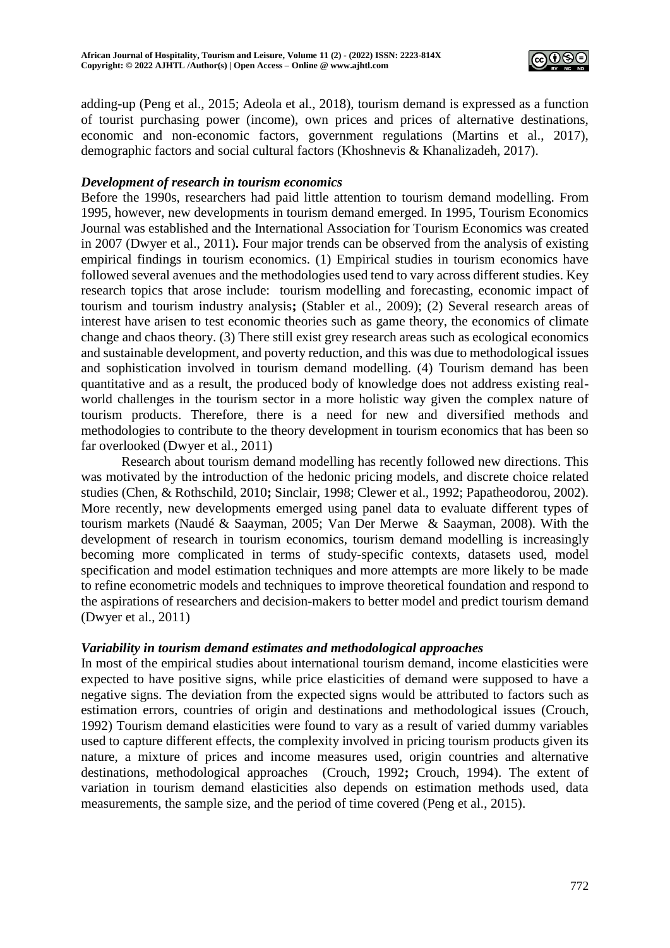

adding-up (Peng et al., 2015; Adeola et al., 2018), tourism demand is expressed as a function of tourist purchasing power (income), own prices and prices of alternative destinations, economic and non-economic factors, government regulations (Martins et al., 2017), demographic factors and social cultural factors (Khoshnevis & Khanalizadeh, 2017).

#### *Development of research in tourism economics*

Before the 1990s, researchers had paid little attention to tourism demand modelling. From 1995, however, new developments in tourism demand emerged. In 1995, Tourism Economics Journal was established and the International Association for Tourism Economics was created in 2007 (Dwyer et al., 2011)**.** Four major trends can be observed from the analysis of existing empirical findings in tourism economics. (1) Empirical studies in tourism economics have followed several avenues and the methodologies used tend to vary across different studies. Key research topics that arose include: tourism modelling and forecasting, economic impact of tourism and tourism industry analysis**;** (Stabler et al., 2009); (2) Several research areas of interest have arisen to test economic theories such as game theory, the economics of climate change and chaos theory. (3) There still exist grey research areas such as ecological economics and sustainable development, and poverty reduction, and this was due to methodological issues and sophistication involved in tourism demand modelling. (4) Tourism demand has been quantitative and as a result, the produced body of knowledge does not address existing realworld challenges in the tourism sector in a more holistic way given the complex nature of tourism products. Therefore, there is a need for new and diversified methods and methodologies to contribute to the theory development in tourism economics that has been so far overlooked (Dwyer et al., 2011)

Research about tourism demand modelling has recently followed new directions. This was motivated by the introduction of the hedonic pricing models, and discrete choice related studies (Chen, & Rothschild, 2010**;** Sinclair, 1998; Clewer et al., 1992; Papatheodorou, 2002). More recently, new developments emerged using panel data to evaluate different types of tourism markets (Naudé & Saayman, 2005; Van Der Merwe & Saayman, 2008). With the development of research in tourism economics, tourism demand modelling is increasingly becoming more complicated in terms of study-specific contexts, datasets used, model specification and model estimation techniques and more attempts are more likely to be made to refine econometric models and techniques to improve theoretical foundation and respond to the aspirations of researchers and decision-makers to better model and predict tourism demand (Dwyer et al., 2011)

## *Variability in tourism demand estimates and methodological approaches*

In most of the empirical studies about international tourism demand, income elasticities were expected to have positive signs, while price elasticities of demand were supposed to have a negative signs. The deviation from the expected signs would be attributed to factors such as estimation errors, countries of origin and destinations and methodological issues (Crouch, 1992) Tourism demand elasticities were found to vary as a result of varied dummy variables used to capture different effects, the complexity involved in pricing tourism products given its nature, a mixture of prices and income measures used, origin countries and alternative destinations, methodological approaches (Crouch, 1992**;** Crouch, 1994). The extent of variation in tourism demand elasticities also depends on estimation methods used, data measurements, the sample size, and the period of time covered (Peng et al., 2015).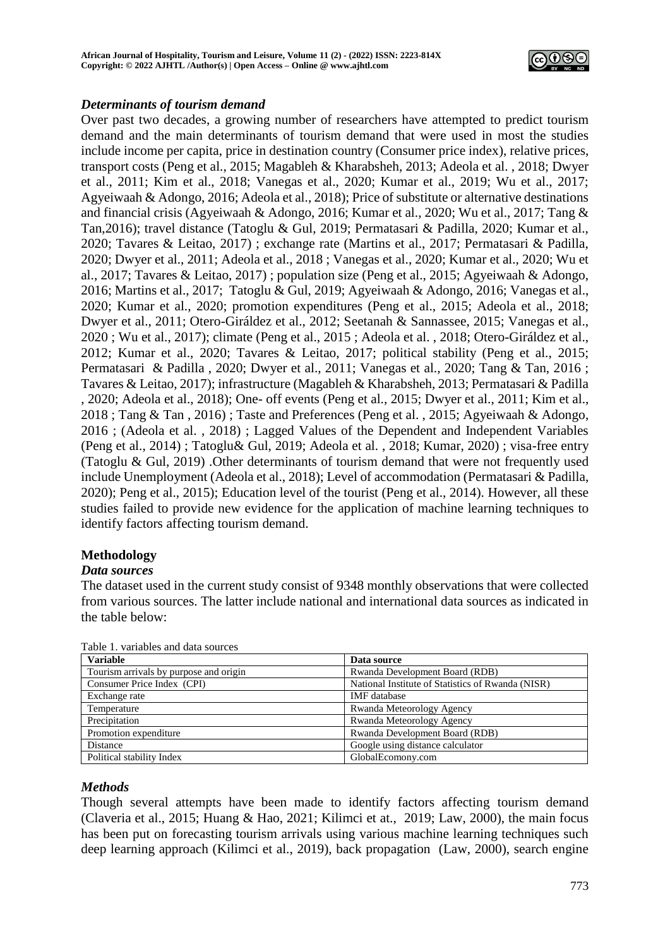

## *Determinants of tourism demand*

Over past two decades, a growing number of researchers have attempted to predict tourism demand and the main determinants of tourism demand that were used in most the studies include income per capita, price in destination country (Consumer price index), relative prices, transport costs (Peng et al., 2015; Magableh & Kharabsheh, 2013; Adeola et al. , 2018; Dwyer et al., 2011; Kim et al., 2018; Vanegas et al., 2020; Kumar et al., 2019; Wu et al., 2017; Agyeiwaah & Adongo, 2016; Adeola et al., 2018); Price of substitute or alternative destinations and financial crisis (Agyeiwaah & Adongo, 2016; Kumar et al., 2020; Wu et al., 2017; Tang & Tan,2016); travel distance (Tatoglu & Gul, 2019; Permatasari & Padilla, 2020; Kumar et al., 2020; Tavares & Leitao, 2017) ; exchange rate (Martins et al., 2017; Permatasari & Padilla, 2020; Dwyer et al., 2011; Adeola et al., 2018 ; Vanegas et al., 2020; Kumar et al., 2020; Wu et al., 2017; Tavares & Leitao, 2017) ; population size (Peng et al., 2015; Agyeiwaah & Adongo, 2016; Martins et al., 2017; Tatoglu & Gul, 2019; Agyeiwaah & Adongo, 2016; Vanegas et al., 2020; Kumar et al., 2020; promotion expenditures (Peng et al., 2015; Adeola et al., 2018; Dwyer et al., 2011; Otero-Giráldez et al., 2012; Seetanah & Sannassee, 2015; Vanegas et al., 2020 ; Wu et al., 2017); climate (Peng et al., 2015 ; Adeola et al. , 2018; Otero-Giráldez et al., 2012; Kumar et al., 2020; Tavares & Leitao, 2017; political stability (Peng et al., 2015; Permatasari & Padilla , 2020; Dwyer et al., 2011; Vanegas et al., 2020; Tang & Tan, 2016 ; Tavares & Leitao, 2017); infrastructure (Magableh & Kharabsheh, 2013; Permatasari & Padilla , 2020; Adeola et al., 2018); One- off events (Peng et al., 2015; Dwyer et al., 2011; Kim et al., 2018 ; Tang & Tan , 2016) ; Taste and Preferences (Peng et al. , 2015; Agyeiwaah & Adongo, 2016 ; (Adeola et al. , 2018) ; Lagged Values of the Dependent and Independent Variables (Peng et al., 2014) ; Tatoglu& Gul, 2019; Adeola et al. , 2018; Kumar, 2020) ; visa-free entry (Tatoglu & Gul, 2019) .Other determinants of tourism demand that were not frequently used include Unemployment (Adeola et al., 2018); Level of accommodation (Permatasari & Padilla, 2020); Peng et al., 2015); Education level of the tourist (Peng et al., 2014). However, all these studies failed to provide new evidence for the application of machine learning techniques to identify factors affecting tourism demand.

# **Methodology**

## *Data sources*

The dataset used in the current study consist of 9348 monthly observations that were collected from various sources. The latter include national and international data sources as indicated in the table below:

| <b>Variable</b>                        | Data source                                       |
|----------------------------------------|---------------------------------------------------|
| Tourism arrivals by purpose and origin | Rwanda Development Board (RDB)                    |
| Consumer Price Index (CPI)             | National Institute of Statistics of Rwanda (NISR) |
| Exchange rate                          | <b>IMF</b> database                               |
| Temperature                            | Rwanda Meteorology Agency                         |
| Precipitation                          | Rwanda Meteorology Agency                         |
| Promotion expenditure                  | Rwanda Development Board (RDB)                    |
| Distance                               | Google using distance calculator                  |
| Political stability Index              | GlobalEcomony.com                                 |

Table 1. variables and data sources

## *Methods*

Though several attempts have been made to identify factors affecting tourism demand (Claveria et al., 2015; Huang & Hao, 2021; Kilimci et at., 2019; Law, 2000), the main focus has been put on forecasting tourism arrivals using various machine learning techniques such deep learning approach (Kilimci et al., 2019), back propagation (Law, 2000), search engine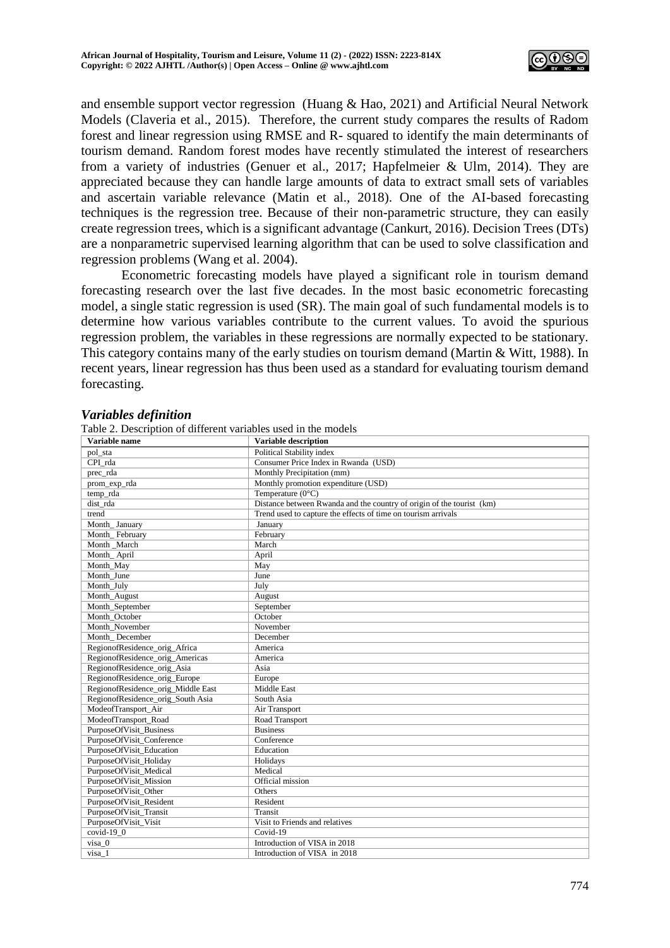

and ensemble support vector regression (Huang & Hao, 2021) and Artificial Neural Network Models (Claveria et al., 2015). Therefore, the current study compares the results of Radom forest and linear regression using RMSE and R- squared to identify the main determinants of tourism demand. Random forest modes have recently stimulated the interest of researchers from a variety of industries (Genuer et al., 2017; Hapfelmeier & Ulm, 2014). They are appreciated because they can handle large amounts of data to extract small sets of variables and ascertain variable relevance (Matin et al., 2018). One of the AI-based forecasting techniques is the regression tree. Because of their non-parametric structure, they can easily create regression trees, which is a significant advantage (Cankurt, 2016). Decision Trees (DTs) are a nonparametric supervised learning algorithm that can be used to solve classification and regression problems (Wang et al. 2004).

Econometric forecasting models have played a significant role in tourism demand forecasting research over the last five decades. In the most basic econometric forecasting model, a single static regression is used (SR). The main goal of such fundamental models is to determine how various variables contribute to the current values. To avoid the spurious regression problem, the variables in these regressions are normally expected to be stationary. This category contains many of the early studies on tourism demand (Martin & Witt, 1988). In recent years, linear regression has thus been used as a standard for evaluating tourism demand forecasting.

# *Variables definition*

| Variable name                      | Variable description                                                  |
|------------------------------------|-----------------------------------------------------------------------|
| pol_sta                            | Political Stability index                                             |
| CPI rda                            | Consumer Price Index in Rwanda (USD)                                  |
| prec rda                           | Monthly Precipitation (mm)                                            |
| prom_exp_rda                       | Monthly promotion expenditure (USD)                                   |
| temp rda                           | Temperature $(0^{\circ}C)$                                            |
| dist rda                           | Distance between Rwanda and the country of origin of the tourist (km) |
| trend                              | Trend used to capture the effects of time on tourism arrivals         |
| Month January                      | January                                                               |
| Month_February                     | February                                                              |
| Month March                        | March                                                                 |
| Month_April                        | April                                                                 |
| Month May                          | May                                                                   |
| Month June                         | June                                                                  |
| Month_July                         | July                                                                  |
| Month August                       | August                                                                |
| Month_September                    | September                                                             |
| Month October                      | October                                                               |
| Month November                     | November                                                              |
| Month December                     | December                                                              |
| RegionofResidence orig Africa      | America                                                               |
| RegionofResidence_orig_Americas    | America                                                               |
| RegionofResidence orig Asia        | Asia                                                                  |
| RegionofResidence_orig_Europe      | Europe                                                                |
| RegionofResidence orig Middle East | Middle East                                                           |
| RegionofResidence orig South Asia  | South Asia                                                            |
| ModeofTransport_Air                | Air Transport                                                         |
| ModeofTransport Road               | Road Transport                                                        |
| PurposeOfVisit_Business            | <b>Business</b>                                                       |
| PurposeOfVisit Conference          | Conference                                                            |
| PurposeOfVisit Education           | Education                                                             |
| PurposeOfVisit_Holiday             | Holidays                                                              |
| PurposeOfVisit Medical             | Medical                                                               |
| PurposeOfVisit_Mission             | Official mission                                                      |
| PurposeOfVisit Other               | Others                                                                |
| PurposeOfVisit_Resident            | Resident                                                              |
| PurposeOfVisit Transit             | Transit                                                               |
| PurposeOfVisit Visit               | Visit to Friends and relatives                                        |
| $covid-19$ 0                       | $Covid-19$                                                            |
| visa 0                             | Introduction of VISA in 2018                                          |
| visa 1                             | Introduction of VISA in 2018                                          |

 $T$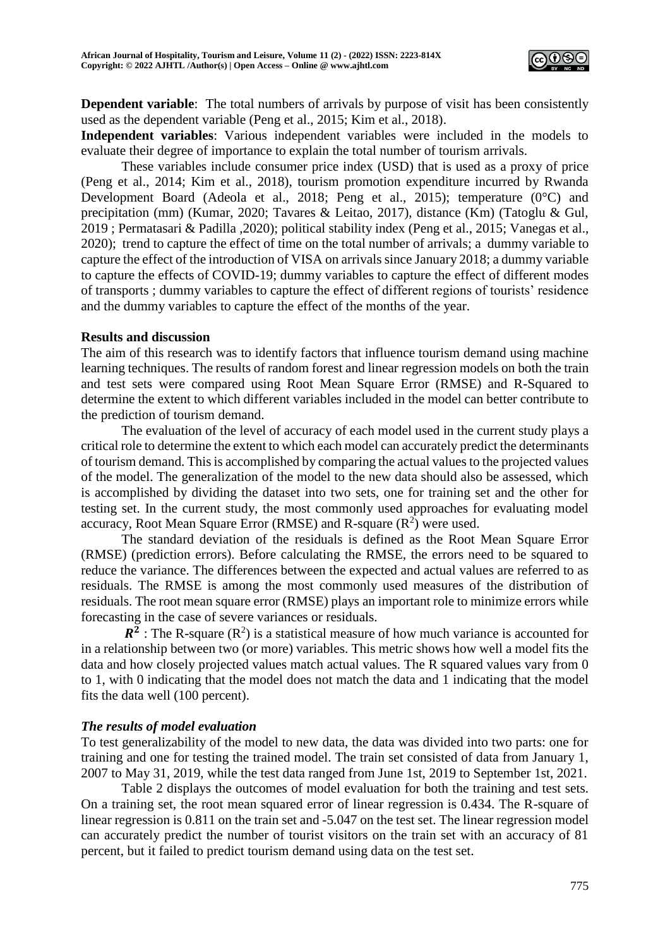

**Dependent variable**: The total numbers of arrivals by purpose of visit has been consistently used as the dependent variable (Peng et al., 2015; Kim et al., 2018).

**Independent variables**: Various independent variables were included in the models to evaluate their degree of importance to explain the total number of tourism arrivals.

These variables include consumer price index (USD) that is used as a proxy of price (Peng et al., 2014; Kim et al., 2018), tourism promotion expenditure incurred by Rwanda Development Board (Adeola et al., 2018; Peng et al., 2015); temperature (0°C) and precipitation (mm) (Kumar, 2020; Tavares & Leitao, 2017), distance (Km) (Tatoglu & Gul, 2019 ; Permatasari & Padilla ,2020); political stability index (Peng et al., 2015; Vanegas et al., 2020); trend to capture the effect of time on the total number of arrivals; a dummy variable to capture the effect of the introduction of VISA on arrivals since January 2018; a dummy variable to capture the effects of COVID-19; dummy variables to capture the effect of different modes of transports ; dummy variables to capture the effect of different regions of tourists' residence and the dummy variables to capture the effect of the months of the year.

#### **Results and discussion**

The aim of this research was to identify factors that influence tourism demand using machine learning techniques. The results of random forest and linear regression models on both the train and test sets were compared using Root Mean Square Error (RMSE) and R-Squared to determine the extent to which different variables included in the model can better contribute to the prediction of tourism demand.

The evaluation of the level of accuracy of each model used in the current study plays a critical role to determine the extent to which each model can accurately predict the determinants of tourism demand. This is accomplished by comparing the actual values to the projected values of the model. The generalization of the model to the new data should also be assessed, which is accomplished by dividing the dataset into two sets, one for training set and the other for testing set. In the current study, the most commonly used approaches for evaluating model accuracy, Root Mean Square Error (RMSE) and R-square  $(R^2)$  were used.

The standard deviation of the residuals is defined as the Root Mean Square Error (RMSE) (prediction errors). Before calculating the RMSE, the errors need to be squared to reduce the variance. The differences between the expected and actual values are referred to as residuals. The RMSE is among the most commonly used measures of the distribution of residuals. The root mean square error (RMSE) plays an important role to minimize errors while forecasting in the case of severe variances or residuals.

 $R^2$ : The R-square (R<sup>2</sup>) is a statistical measure of how much variance is accounted for in a relationship between two (or more) variables. This metric shows how well a model fits the data and how closely projected values match actual values. The R squared values vary from 0 to 1, with 0 indicating that the model does not match the data and 1 indicating that the model fits the data well (100 percent).

## *The results of model evaluation*

To test generalizability of the model to new data, the data was divided into two parts: one for training and one for testing the trained model. The train set consisted of data from January 1, 2007 to May 31, 2019, while the test data ranged from June 1st, 2019 to September 1st, 2021.

Table 2 displays the outcomes of model evaluation for both the training and test sets. On a training set, the root mean squared error of linear regression is 0.434. The R-square of linear regression is 0.811 on the train set and -5.047 on the test set. The linear regression model can accurately predict the number of tourist visitors on the train set with an accuracy of 81 percent, but it failed to predict tourism demand using data on the test set.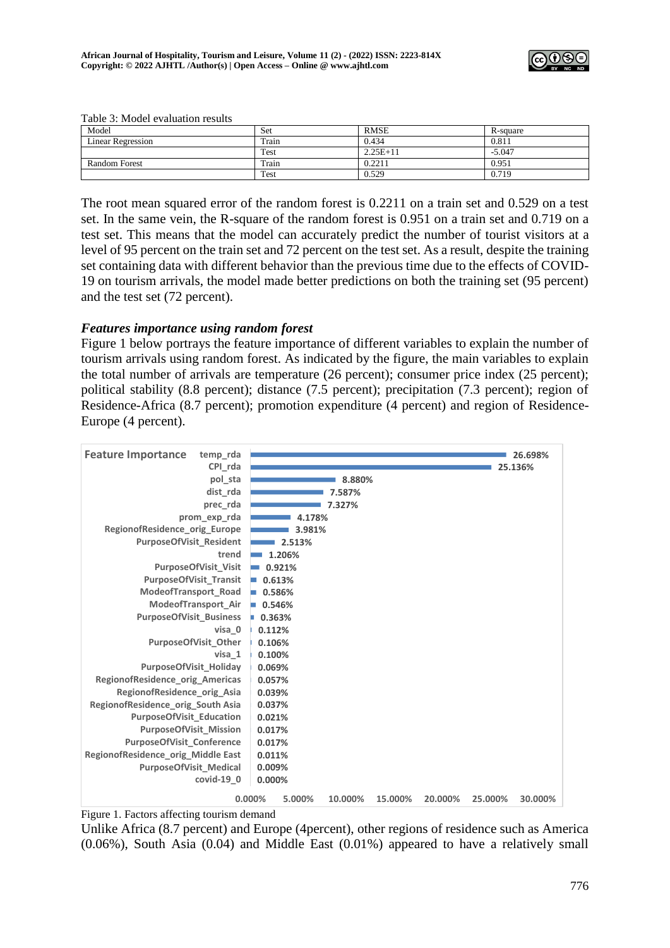

| Model                    | Set   | <b>RMSE</b> | R-square |  |  |
|--------------------------|-------|-------------|----------|--|--|
| <b>Linear Regression</b> | Train | 0.434       | 0.811    |  |  |
|                          | Test  | $2.25E+11$  | $-5.047$ |  |  |
| <b>Random Forest</b>     | Train | 0.2211      | 0.951    |  |  |
|                          | Test  | 0.529       | 0.719    |  |  |

Table 3: Model evaluation results

The root mean squared error of the random forest is 0.2211 on a train set and 0.529 on a test set. In the same vein, the R-square of the random forest is 0.951 on a train set and 0.719 on a test set. This means that the model can accurately predict the number of tourist visitors at a level of 95 percent on the train set and 72 percent on the test set. As a result, despite the training set containing data with different behavior than the previous time due to the effects of COVID-19 on tourism arrivals, the model made better predictions on both the training set (95 percent) and the test set (72 percent).

## *Features importance using random forest*

Figure 1 below portrays the feature importance of different variables to explain the number of tourism arrivals using random forest. As indicated by the figure, the main variables to explain the total number of arrivals are temperature (26 percent); consumer price index (25 percent); political stability (8.8 percent); distance (7.5 percent); precipitation (7.3 percent); region of Residence-Africa (8.7 percent); promotion expenditure (4 percent) and region of Residence-Europe (4 percent).



Figure 1. Factors affecting tourism demand

Unlike Africa (8.7 percent) and Europe (4percent), other regions of residence such as America (0.06%), South Asia (0.04) and Middle East (0.01%) appeared to have a relatively small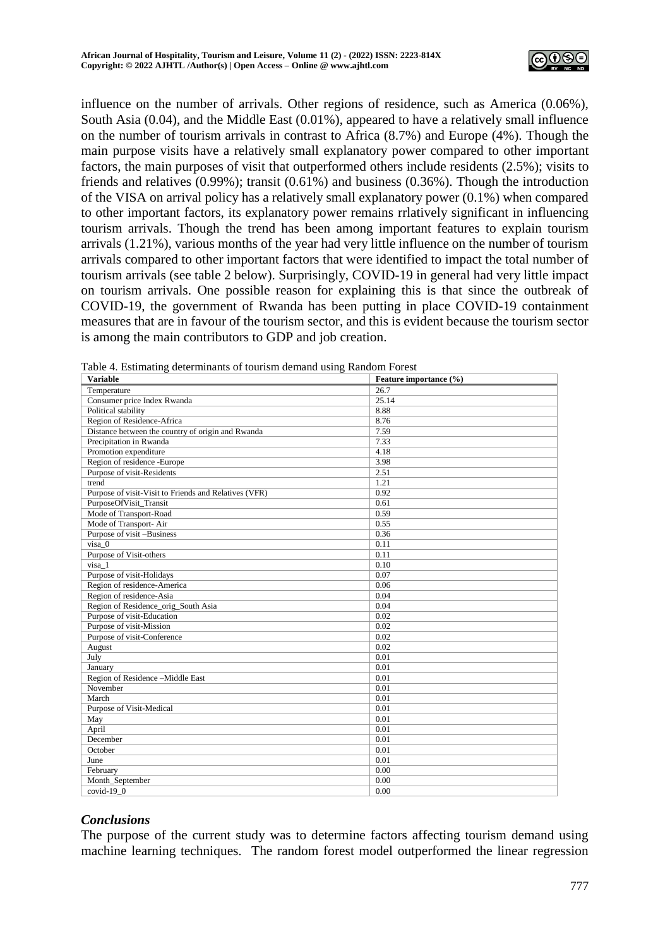

influence on the number of arrivals. Other regions of residence, such as America (0.06%), South Asia  $(0.04)$ , and the Middle East  $(0.01\%)$ , appeared to have a relatively small influence on the number of tourism arrivals in contrast to Africa (8.7%) and Europe (4%). Though the main purpose visits have a relatively small explanatory power compared to other important factors, the main purposes of visit that outperformed others include residents (2.5%); visits to friends and relatives (0.99%); transit (0.61%) and business (0.36%). Though the introduction of the VISA on arrival policy has a relatively small explanatory power (0.1%) when compared to other important factors, its explanatory power remains rrlatively significant in influencing tourism arrivals. Though the trend has been among important features to explain tourism arrivals (1.21%), various months of the year had very little influence on the number of tourism arrivals compared to other important factors that were identified to impact the total number of tourism arrivals (see table 2 below). Surprisingly, COVID-19 in general had very little impact on tourism arrivals. One possible reason for explaining this is that since the outbreak of COVID-19, the government of Rwanda has been putting in place COVID-19 containment measures that are in favour of the tourism sector, and this is evident because the tourism sector is among the main contributors to GDP and job creation.

| <b>Variable</b>                                       | Feature importance (%) |
|-------------------------------------------------------|------------------------|
| Temperature                                           | 26.7                   |
| Consumer price Index Rwanda                           | 25.14                  |
| Political stability                                   | 8.88                   |
| Region of Residence-Africa                            | 8.76                   |
| Distance between the country of origin and Rwanda     | 7.59                   |
| Precipitation in Rwanda                               | 7.33                   |
| Promotion expenditure                                 | 4.18                   |
| Region of residence -Europe                           | 3.98                   |
| Purpose of visit-Residents                            | 2.51                   |
| trend                                                 | 1.21                   |
| Purpose of visit-Visit to Friends and Relatives (VFR) | 0.92                   |
| PurposeOfVisit_Transit                                | 0.61                   |
| Mode of Transport-Road                                | 0.59                   |
| Mode of Transport-Air                                 | 0.55                   |
| Purpose of visit -Business                            | 0.36                   |
| $visa$ 0                                              | 0.11                   |
| Purpose of Visit-others                               | 0.11                   |
| visa 1                                                | 0.10                   |
| Purpose of visit-Holidays                             | 0.07                   |
| Region of residence-America                           | 0.06                   |
| Region of residence-Asia                              | 0.04                   |
| Region of Residence_orig_South Asia                   | 0.04                   |
| Purpose of visit-Education                            | 0.02                   |
| Purpose of visit-Mission                              | 0.02                   |
| Purpose of visit-Conference                           | 0.02                   |
| August                                                | 0.02                   |
| July                                                  | 0.01                   |
| January                                               | 0.01                   |
| Region of Residence -- Middle East                    | 0.01                   |
| November                                              | 0.01                   |
| March                                                 | 0.01                   |
| Purpose of Visit-Medical                              | 0.01                   |
| May                                                   | 0.01                   |
| April                                                 | 0.01                   |
| December                                              | 0.01                   |
| October                                               | 0.01                   |
| June                                                  | 0.01                   |
| February                                              | 0.00                   |
| Month_September                                       | 0.00                   |
| $covid-19$ 0                                          | 0.00                   |

| Table 4. Estimating determinants of tourism demand using Random Forest |  |  |  |  |  |
|------------------------------------------------------------------------|--|--|--|--|--|
|------------------------------------------------------------------------|--|--|--|--|--|

# *Conclusions*

The purpose of the current study was to determine factors affecting tourism demand using machine learning techniques. The random forest model outperformed the linear regression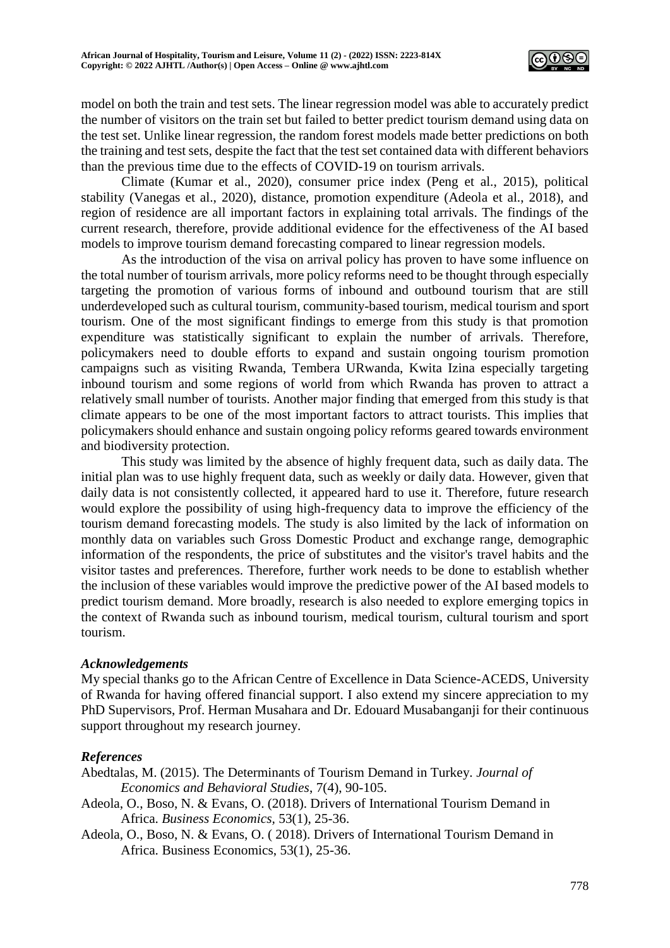

model on both the train and test sets. The linear regression model was able to accurately predict the number of visitors on the train set but failed to better predict tourism demand using data on the test set. Unlike linear regression, the random forest models made better predictions on both the training and test sets, despite the fact that the test set contained data with different behaviors than the previous time due to the effects of COVID-19 on tourism arrivals.

Climate (Kumar et al., 2020), consumer price index (Peng et al., 2015), political stability (Vanegas et al., 2020), distance, promotion expenditure (Adeola et al., 2018), and region of residence are all important factors in explaining total arrivals. The findings of the current research, therefore, provide additional evidence for the effectiveness of the AI based models to improve tourism demand forecasting compared to linear regression models.

As the introduction of the visa on arrival policy has proven to have some influence on the total number of tourism arrivals, more policy reforms need to be thought through especially targeting the promotion of various forms of inbound and outbound tourism that are still underdeveloped such as cultural tourism, community-based tourism, medical tourism and sport tourism. One of the most significant findings to emerge from this study is that promotion expenditure was statistically significant to explain the number of arrivals. Therefore, policymakers need to double efforts to expand and sustain ongoing tourism promotion campaigns such as visiting Rwanda, Tembera URwanda, Kwita Izina especially targeting inbound tourism and some regions of world from which Rwanda has proven to attract a relatively small number of tourists. Another major finding that emerged from this study is that climate appears to be one of the most important factors to attract tourists. This implies that policymakers should enhance and sustain ongoing policy reforms geared towards environment and biodiversity protection.

This study was limited by the absence of highly frequent data, such as daily data. The initial plan was to use highly frequent data, such as weekly or daily data. However, given that daily data is not consistently collected, it appeared hard to use it. Therefore, future research would explore the possibility of using high-frequency data to improve the efficiency of the tourism demand forecasting models. The study is also limited by the lack of information on monthly data on variables such Gross Domestic Product and exchange range, demographic information of the respondents, the price of substitutes and the visitor's travel habits and the visitor tastes and preferences. Therefore, further work needs to be done to establish whether the inclusion of these variables would improve the predictive power of the AI based models to predict tourism demand. More broadly, research is also needed to explore emerging topics in the context of Rwanda such as inbound tourism, medical tourism, cultural tourism and sport tourism.

#### *Acknowledgements*

My special thanks go to the African Centre of Excellence in Data Science-ACEDS, University of Rwanda for having offered financial support. I also extend my sincere appreciation to my PhD Supervisors, Prof. Herman Musahara and Dr. Edouard Musabanganji for their continuous support throughout my research journey.

## *References*

- Abedtalas, M. (2015). The Determinants of Tourism Demand in Turkey. *Journal of Economics and Behavioral Studies*, 7(4), 90-105.
- Adeola, O., Boso, N. & Evans, O. (2018). Drivers of International Tourism Demand in Africa. *Business Economics,* 53(1), 25-36.
- Adeola, O., Boso, N. & Evans, O. ( 2018). Drivers of International Tourism Demand in Africa. Business Economics, 53(1), 25-36.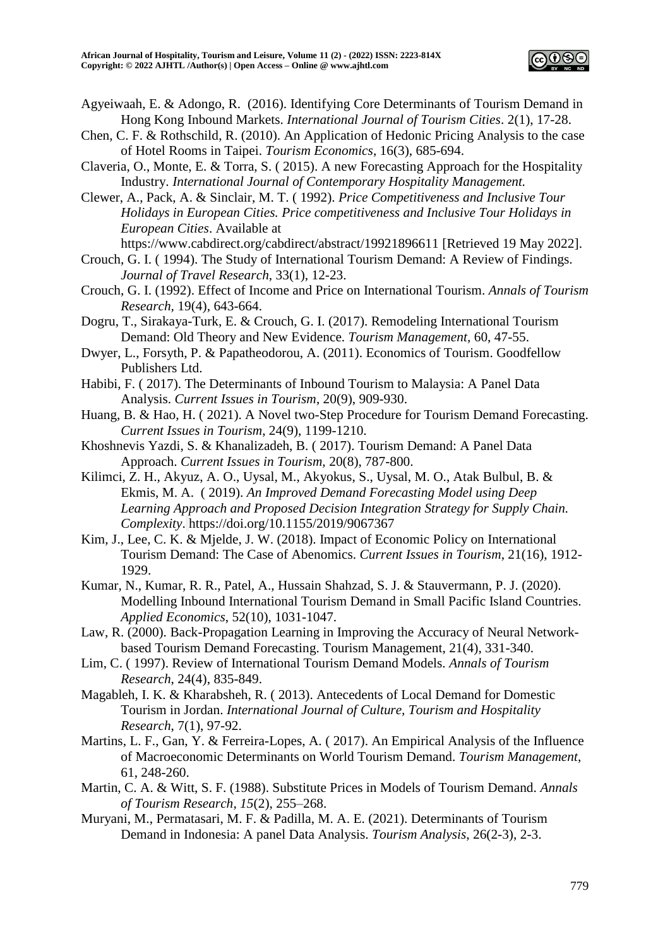

- Agyeiwaah, E. & Adongo, R. (2016). Identifying Core Determinants of Tourism Demand in Hong Kong Inbound Markets. *International Journal of Tourism Cities*. 2(1), 17-28.
- Chen, C. F. & Rothschild, R. (2010). An Application of Hedonic Pricing Analysis to the case of Hotel Rooms in Taipei. *Tourism Economics*, 16(3), 685-694.
- Claveria, O., Monte, E. & Torra, S. ( 2015). A new Forecasting Approach for the Hospitality Industry. *International Journal of Contemporary Hospitality Management.*
- Clewer, A., Pack, A. & Sinclair, M. T. ( 1992). *Price Competitiveness and Inclusive Tour Holidays in European Cities. Price competitiveness and Inclusive Tour Holidays in European Cities*. Available at

https://www.cabdirect.org/cabdirect/abstract/19921896611 [Retrieved 19 May 2022].

- Crouch, G. I. ( 1994). The Study of International Tourism Demand: A Review of Findings. *Journal of Travel Research*, 33(1), 12-23.
- Crouch, G. I. (1992). Effect of Income and Price on International Tourism. *Annals of Tourism Research,* 19(4), 643-664.
- Dogru, T., Sirakaya-Turk, E. & Crouch, G. I. (2017). Remodeling International Tourism Demand: Old Theory and New Evidence. *Tourism Management,* 60, 47-55.
- Dwyer, L., Forsyth, P. & Papatheodorou, A. (2011). Economics of Tourism. Goodfellow Publishers Ltd.
- Habibi, F. ( 2017). The Determinants of Inbound Tourism to Malaysia: A Panel Data Analysis. *Current Issues in Tourism*, 20(9), 909-930.
- Huang, B. & Hao, H. ( 2021). A Novel two-Step Procedure for Tourism Demand Forecasting. *Current Issues in Tourism*, 24(9), 1199-1210.
- Khoshnevis Yazdi, S. & Khanalizadeh, B. ( 2017). Tourism Demand: A Panel Data Approach. *Current Issues in Tourism,* 20(8), 787-800.
- Kilimci, Z. H., Akyuz, A. O., Uysal, M., Akyokus, S., Uysal, M. O., Atak Bulbul, B. & Ekmis, M. A. ( 2019). *An Improved Demand Forecasting Model using Deep Learning Approach and Proposed Decision Integration Strategy for Supply Chain. Complexity*. https://doi.org/10.1155/2019/9067367
- Kim, J., Lee, C. K. & Mjelde, J. W. (2018). Impact of Economic Policy on International Tourism Demand: The Case of Abenomics. *Current Issues in Tourism*, 21(16), 1912- 1929.
- Kumar, N., Kumar, R. R., Patel, A., Hussain Shahzad, S. J. & Stauvermann, P. J. (2020). Modelling Inbound International Tourism Demand in Small Pacific Island Countries. *Applied Economics*, 52(10), 1031-1047.
- Law, R. (2000). Back-Propagation Learning in Improving the Accuracy of Neural Networkbased Tourism Demand Forecasting. Tourism Management, 21(4), 331-340.
- Lim, C. ( 1997). Review of International Tourism Demand Models. *Annals of Tourism Research*, 24(4), 835-849.
- Magableh, I. K. & Kharabsheh, R. ( 2013). Antecedents of Local Demand for Domestic Tourism in Jordan. *International Journal of Culture, Tourism and Hospitality Research*, 7(1), 97-92.
- Martins, L. F., Gan, Y. & Ferreira-Lopes, A. ( 2017). An Empirical Analysis of the Influence of Macroeconomic Determinants on World Tourism Demand. *Tourism Management*, 61, 248-260.
- Martin, C. A. & Witt, S. F. (1988). Substitute Prices in Models of Tourism Demand. *Annals of Tourism Research*, *15*(2), 255–268.
- Muryani, M., Permatasari, M. F. & Padilla, M. A. E. (2021). Determinants of Tourism Demand in Indonesia: A panel Data Analysis. *Tourism Analysis*, 26(2-3), 2-3.